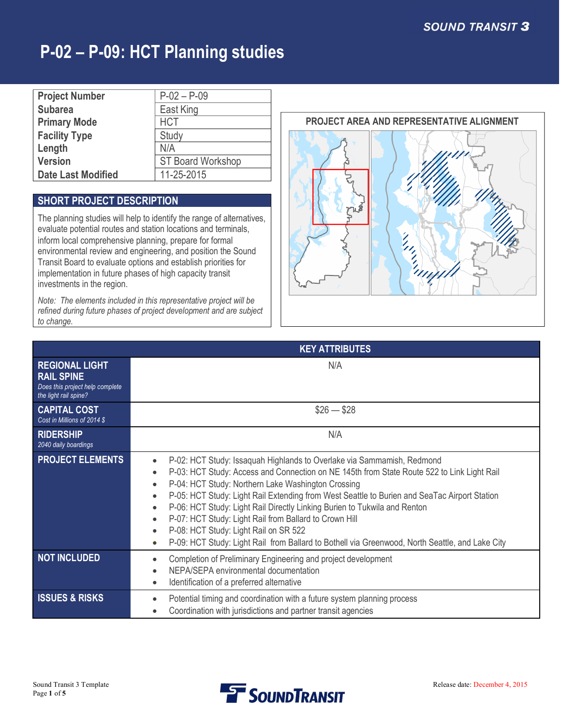| <b>Project Number</b>     | $P-02 - P-09$            |
|---------------------------|--------------------------|
| <b>Subarea</b>            | East King                |
| <b>Primary Mode</b>       | <b>HCT</b>               |
| <b>Facility Type</b>      | Study                    |
| Length                    | N/A                      |
| <b>Version</b>            | <b>ST Board Workshop</b> |
| <b>Date Last Modified</b> | 11-25-2015               |

### **SHORT PROJECT DESCRIPTION**

The planning studies will help to identify the range of alternatives, evaluate potential routes and station locations and terminals, inform local comprehensive planning, prepare for formal environmental review and engineering, and position the Sound Transit Board to evaluate options and establish priorities for implementation in future phases of high capacity transit investments in the region.

*Note: The elements included in this representative project will be refined during future phases of project development and are subject to change.*



| <b>KEY ATTRIBUTES</b>                                                                                  |                                                                                                                                                                                                                                                                                                                                                                                                                                                                                                                                                                                                                                                                                |  |  |  |
|--------------------------------------------------------------------------------------------------------|--------------------------------------------------------------------------------------------------------------------------------------------------------------------------------------------------------------------------------------------------------------------------------------------------------------------------------------------------------------------------------------------------------------------------------------------------------------------------------------------------------------------------------------------------------------------------------------------------------------------------------------------------------------------------------|--|--|--|
| <b>REGIONAL LIGHT</b><br><b>RAIL SPINE</b><br>Does this project help complete<br>the light rail spine? | N/A                                                                                                                                                                                                                                                                                                                                                                                                                                                                                                                                                                                                                                                                            |  |  |  |
| <b>CAPITAL COST</b><br>Cost in Millions of 2014 \$                                                     | $$26 - $28$                                                                                                                                                                                                                                                                                                                                                                                                                                                                                                                                                                                                                                                                    |  |  |  |
| <b>RIDERSHIP</b><br>2040 daily boardings                                                               | N/A                                                                                                                                                                                                                                                                                                                                                                                                                                                                                                                                                                                                                                                                            |  |  |  |
| <b>PROJECT ELEMENTS</b>                                                                                | P-02: HCT Study: Issaquah Highlands to Overlake via Sammamish, Redmond<br>$\bullet$<br>P-03: HCT Study: Access and Connection on NE 145th from State Route 522 to Link Light Rail<br>$\bullet$<br>P-04: HCT Study: Northern Lake Washington Crossing<br>$\bullet$<br>P-05: HCT Study: Light Rail Extending from West Seattle to Burien and SeaTac Airport Station<br>P-06: HCT Study: Light Rail Directly Linking Burien to Tukwila and Renton<br>P-07: HCT Study: Light Rail from Ballard to Crown Hill<br>$\bullet$<br>P-08: HCT Study: Light Rail on SR 522<br>$\bullet$<br>P-09: HCT Study: Light Rail from Ballard to Bothell via Greenwood, North Seattle, and Lake City |  |  |  |
| <b>NOT INCLUDED</b>                                                                                    | Completion of Preliminary Engineering and project development<br>$\bullet$<br>NEPA/SEPA environmental documentation<br>Identification of a preferred alternative<br>$\bullet$                                                                                                                                                                                                                                                                                                                                                                                                                                                                                                  |  |  |  |
| <b>ISSUES &amp; RISKS</b>                                                                              | Potential timing and coordination with a future system planning process<br>Coordination with jurisdictions and partner transit agencies                                                                                                                                                                                                                                                                                                                                                                                                                                                                                                                                        |  |  |  |

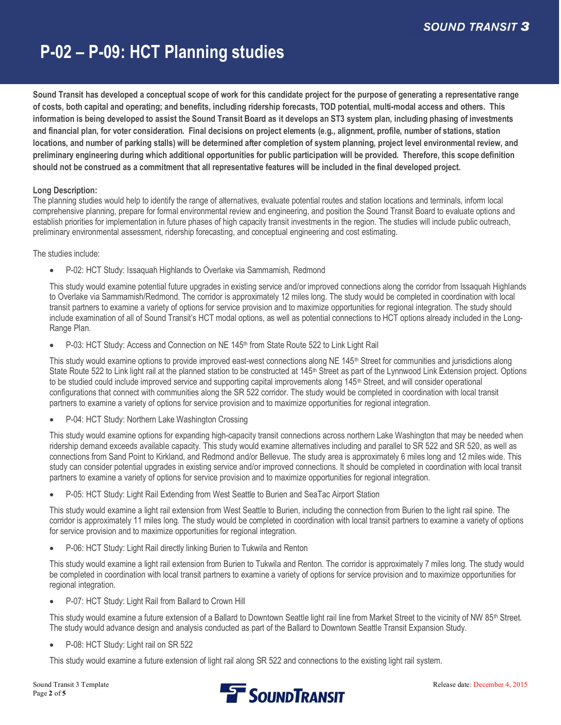**Sound Transit has developed a conceptual scope of work for this candidate project for the purpose of generating a representative range of costs, both capital and operating; and benefits, including ridership forecasts, TOD potential, multi-modal access and others. This information is being developed to assist the Sound Transit Board as it develops an ST3 system plan, including phasing of investments and financial plan, for voter consideration. Final decisions on project elements (e.g., alignment, profile, number of stations, station locations, and number of parking stalls) will be determined after completion of system planning, project level environmental review, and preliminary engineering during which additional opportunities for public participation will be provided. Therefore, this scope definition should not be construed as a commitment that all representative features will be included in the final developed project.**

### **Long Description:**

The planning studies would help to identify the range of alternatives, evaluate potential routes and station locations and terminals, inform local comprehensive planning, prepare for formal environmental review and engineering, and position the Sound Transit Board to evaluate options and establish priorities for implementation in future phases of high capacity transit investments in the region. The studies will include public outreach, preliminary environmental assessment, ridership forecasting, and conceptual engineering and cost estimating.

### The studies include:

· P-02: HCT Study: Issaquah Highlands to Overlake via Sammamish, Redmond

This study would examine potential future upgrades in existing service and/or improved connections along the corridor from Issaquah Highlands to Overlake via Sammamish/Redmond. The corridor is approximately 12 miles long. The study would be completed in coordination with local transit partners to examine a variety of options for service provision and to maximize opportunities for regional integration. The study should include examination of all of Sound Transit's HCT modal options, as well as potential connections to HCT options already included in the Long-Range Plan.

P-03: HCT Study: Access and Connection on NE 145<sup>th</sup> from State Route 522 to Link Light Rail

This study would examine options to provide improved east-west connections along NE 145<sup>th</sup> Street for communities and jurisdictions along State Route 522 to Link light rail at the planned station to be constructed at 145<sup>th</sup> Street as part of the Lynnwood Link Extension project. Options to be studied could include improved service and supporting capital improvements along 145<sup>th</sup> Street, and will consider operational configurations that connect with communities along the SR 522 corridor. The study would be completed in coordination with local transit partners to examine a variety of options for service provision and to maximize opportunities for regional integration.

P-04: HCT Study: Northern Lake Washington Crossing

This study would examine options for expanding high-capacity transit connections across northern Lake Washington that may be needed when ridership demand exceeds available capacity. This study would examine alternatives including and parallel to SR 522 and SR 520, as well as connections from Sand Point to Kirkland, and Redmond and/or Bellevue. The study area is approximately 6 miles long and 12 miles wide. This study can consider potential upgrades in existing service and/or improved connections. It should be completed in coordination with local transit partners to examine a variety of options for service provision and to maximize opportunities for regional integration.

P-05: HCT Study: Light Rail Extending from West Seattle to Burien and SeaTac Airport Station

This study would examine a light rail extension from West Seattle to Burien, including the connection from Burien to the light rail spine. The corridor is approximately 11 miles long. The study would be completed in coordination with local transit partners to examine a variety of options for service provision and to maximize opportunities for regional integration.

P-06: HCT Study: Light Rail directly linking Burien to Tukwila and Renton

This study would examine a light rail extension from Burien to Tukwila and Renton. The corridor is approximately 7 miles long. The study would be completed in coordination with local transit partners to examine a variety of options for service provision and to maximize opportunities for regional integration.

P-07: HCT Study: Light Rail from Ballard to Crown Hill

This study would examine a future extension of a Ballard to Downtown Seattle light rail line from Market Street to the vicinity of NW 85<sup>th</sup> Street. The study would advance design and analysis conducted as part of the Ballard to Downtown Seattle Transit Expansion Study.

P-08: HCT Study: Light rail on SR 522

This study would examine a future extension of light rail along SR 522 and connections to the existing light rail system.

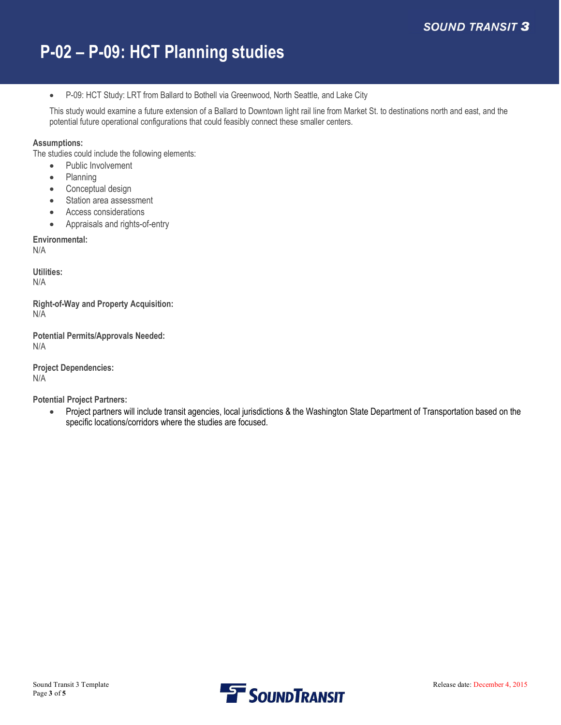· P-09: HCT Study: LRT from Ballard to Bothell via Greenwood, North Seattle, and Lake City

This study would examine a future extension of a Ballard to Downtown light rail line from Market St. to destinations north and east, and the potential future operational configurations that could feasibly connect these smaller centers.

### **Assumptions:**

The studies could include the following elements:

- Public Involvement
- · Planning
- Conceptual design
- Station area assessment
- Access considerations
- · Appraisals and rights-of-entry

**Environmental:** N/A

**Utilities:** N/A

**Right-of-Way and Property Acquisition:** N/A

**Potential Permits/Approvals Needed:** N/A

**Project Dependencies:** N/A

**Potential Project Partners:**

· Project partners will include transit agencies, local jurisdictions & the Washington State Department of Transportation based on the specific locations/corridors where the studies are focused.

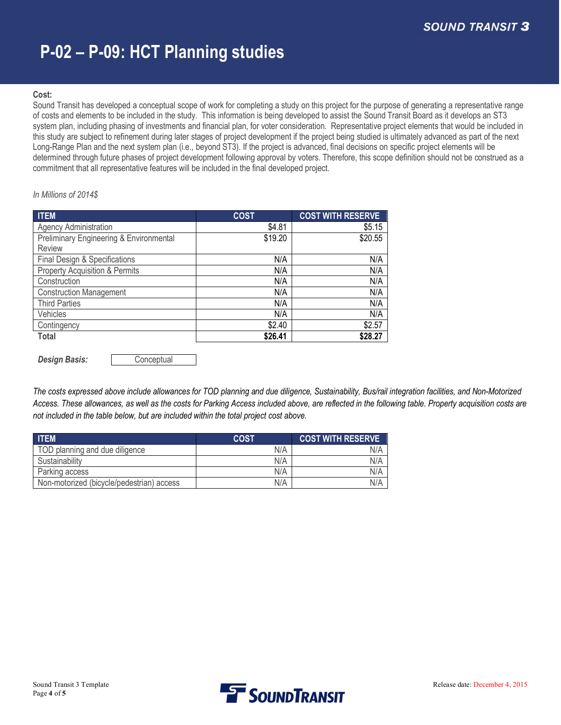### **Cost:**

Sound Transit has developed a conceptual scope of work for completing a study on this project for the purpose of generating a representative range of costs and elements to be included in the study. This information is being developed to assist the Sound Transit Board as it develops an ST3 system plan, including phasing of investments and financial plan, for voter consideration. Representative project elements that would be included in this study are subject to refinement during later stages of project development if the project being studied is ultimately advanced as part of the next Long-Range Plan and the next system plan (i.e., beyond ST3). If the project is advanced, final decisions on specific project elements will be determined through future phases of project development following approval by voters. Therefore, this scope definition should not be construed as a commitment that all representative features will be included in the final developed project.

#### *In Millions of 2014\$*

| <b>ITEM</b>                               | <b>COST</b> | <b>COST WITH RESERVE</b> |
|-------------------------------------------|-------------|--------------------------|
| <b>Agency Administration</b>              | \$4.81      | \$5.15                   |
| Preliminary Engineering & Environmental   | \$19.20     | \$20.55                  |
| Review                                    |             |                          |
| Final Design & Specifications             | N/A         | N/A                      |
| <b>Property Acquisition &amp; Permits</b> | N/A         | N/A                      |
| Construction                              | N/A         | N/A                      |
| <b>Construction Management</b>            | N/A         | N/A                      |
| <b>Third Parties</b>                      | N/A         | N/A                      |
| Vehicles                                  | N/A         | N/A                      |
| Contingency                               | \$2.40      | \$2.57                   |
| Total                                     | \$26.41     | \$28.27                  |

**Design Basis: Conceptual** 

*The costs expressed above include allowances for TOD planning and due diligence, Sustainability, Bus/rail integration facilities, and Non-Motorized Access. These allowances, as well as the costs for Parking Access included above, are reflected in the following table. Property acquisition costs are not included in the table below, but are included within the total project cost above.*

| <b>ITEM</b>                               | <b>COST</b> | <b>COST WITH RESERVE</b> |
|-------------------------------------------|-------------|--------------------------|
| TOD planning and due diligence            | N/A         | N/A                      |
| Sustainability                            | N/A         | N/A                      |
| Parking access                            | N/A         | N/A                      |
| Non-motorized (bicycle/pedestrian) access | N/A         | N/A                      |